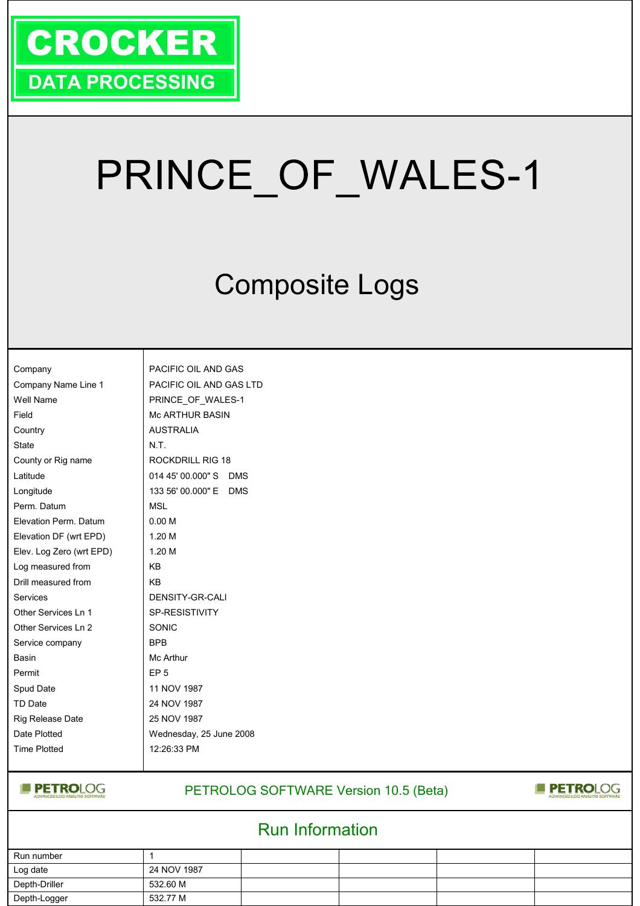

# PRINCE OF WALES-1

## Composite Logs

| Company                  | PAC        |
|--------------------------|------------|
| Company Name Line 1      | PAC        |
| Well Name                | PRII       |
| Field                    | Mc /       |
| Country                  | AUS        |
| <b>State</b>             | N.T.       |
| County or Rig name       | RO0        |
| Latitude                 | 014        |
| Longitude                | 133        |
| Perm. Datum              | msl        |
| Elevation Perm. Datum    | 0.00       |
| Elevation DF (wrt EPD)   | 1.20       |
| Elev. Log Zero (wrt EPD) | 1.20       |
| Log measured from        | KB         |
| Drill measured from      | KB.        |
| Services                 | DEN        |
| Other Services Ln 1      | SP-I       |
| Other Services Ln 2      | <b>SON</b> |
| Service company          | <b>BPB</b> |
| Basin                    | Mc /       |
| Permit                   | EP (       |
| Spud Date                | 11 $N$     |
| <b>TD Date</b>           | 24 N       |
| Rig Release Date         | 25 N       |
| Date Plotted             | Wec        |
| <b>Time Plotted</b>      | 12:2       |
|                          |            |

PACIFIC OIL AND GAS PACIFIC OIL AND GAS LTD PRINCE\_OF\_WALES-1 **Mc ARTHUR BASIN AUSTRALIA** ROCKDRILL RIG 18 014 45' 00.000" S DMS 133 56' 00.000" E DMS **MSL**  $0.00 M$  $1.20 M$  $1.20 M$ DENSITY-GR-CALI SP-RESISTIVITY SONIC BPB Mc Arthur EP<sub>5</sub> 11 NOV 1987 24 NOV 1987 25 NOV 1987 Wednesday, 25 June 2008 12:26:33 PM

**PETROLOG** 

#### PETROLOG SOFTWARE Version 10.5 (Beta)

#### **PETROLOG**

### Run Information

| Run number    |             |  |  |
|---------------|-------------|--|--|
| Log date      | 24 NOV 1987 |  |  |
| Depth-Driller | 532.60 M    |  |  |
| Depth-Logger  | 532.77 M    |  |  |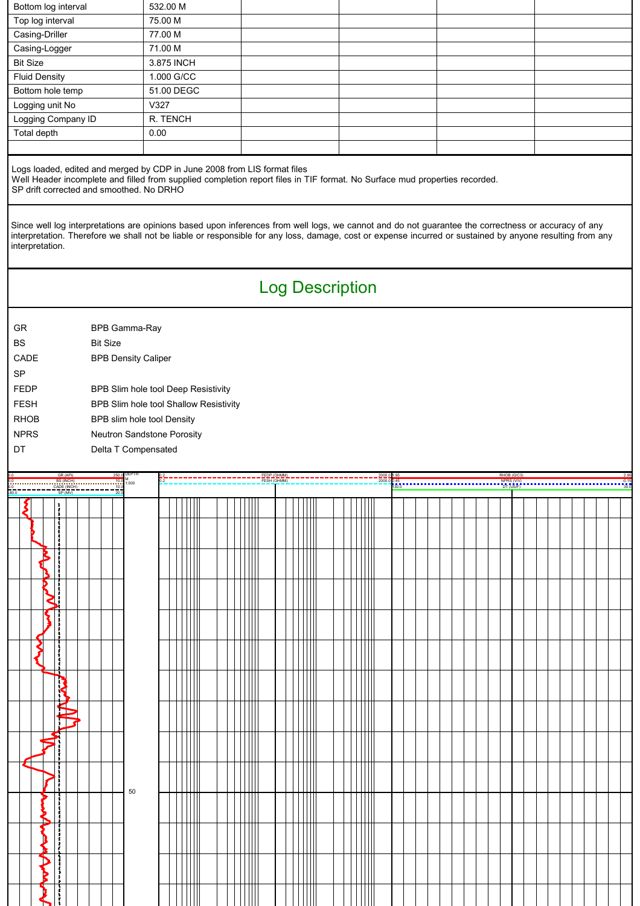| Bottom log interval                                                                                                                                                                                                                                                                                                                                                                                                                                                                                                                                                                      | 532.00 M                               |                            |                                    |                                     |         |  |  |
|------------------------------------------------------------------------------------------------------------------------------------------------------------------------------------------------------------------------------------------------------------------------------------------------------------------------------------------------------------------------------------------------------------------------------------------------------------------------------------------------------------------------------------------------------------------------------------------|----------------------------------------|----------------------------|------------------------------------|-------------------------------------|---------|--|--|
| Top log interval                                                                                                                                                                                                                                                                                                                                                                                                                                                                                                                                                                         | 75.00 M                                |                            |                                    |                                     |         |  |  |
| Casing-Driller                                                                                                                                                                                                                                                                                                                                                                                                                                                                                                                                                                           | 77.00 M                                |                            |                                    |                                     |         |  |  |
| Casing-Logger                                                                                                                                                                                                                                                                                                                                                                                                                                                                                                                                                                            | 71.00 M                                |                            |                                    |                                     |         |  |  |
| <b>Bit Size</b>                                                                                                                                                                                                                                                                                                                                                                                                                                                                                                                                                                          | 3.875 INCH                             |                            |                                    |                                     |         |  |  |
| <b>Fluid Density</b>                                                                                                                                                                                                                                                                                                                                                                                                                                                                                                                                                                     | 1.000 G/CC                             |                            |                                    |                                     |         |  |  |
| Bottom hole temp                                                                                                                                                                                                                                                                                                                                                                                                                                                                                                                                                                         | 51.00 DEGC                             |                            |                                    |                                     |         |  |  |
| Logging unit No                                                                                                                                                                                                                                                                                                                                                                                                                                                                                                                                                                          | V327                                   |                            |                                    |                                     |         |  |  |
| Logging Company ID                                                                                                                                                                                                                                                                                                                                                                                                                                                                                                                                                                       | R. TENCH                               |                            |                                    |                                     |         |  |  |
| Total depth                                                                                                                                                                                                                                                                                                                                                                                                                                                                                                                                                                              | 0.00                                   |                            |                                    |                                     |         |  |  |
|                                                                                                                                                                                                                                                                                                                                                                                                                                                                                                                                                                                          |                                        |                            |                                    |                                     |         |  |  |
| Logs loaded, edited and merged by CDP in June 2008 from LIS format files<br>Well Header incomplete and filled from supplied completion report files in TIF format. No Surface mud properties recorded.<br>SP drift corrected and smoothed. No DRHO<br>Since well log interpretations are opinions based upon inferences from well logs, we cannot and do not guarantee the correctness or accuracy of any<br>interpretation. Therefore we shall not be liable or responsible for any loss, damage, cost or expense incurred or sustained by anyone resulting from any<br>interpretation. |                                        |                            |                                    |                                     |         |  |  |
|                                                                                                                                                                                                                                                                                                                                                                                                                                                                                                                                                                                          |                                        | <b>Log Description</b>     |                                    |                                     |         |  |  |
|                                                                                                                                                                                                                                                                                                                                                                                                                                                                                                                                                                                          |                                        |                            |                                    |                                     |         |  |  |
| GR<br>BPB Gamma-Ray                                                                                                                                                                                                                                                                                                                                                                                                                                                                                                                                                                      |                                        |                            |                                    |                                     |         |  |  |
| <b>BS</b><br><b>Bit Size</b>                                                                                                                                                                                                                                                                                                                                                                                                                                                                                                                                                             |                                        |                            |                                    |                                     |         |  |  |
| CADE<br><b>BPB Density Caliper</b>                                                                                                                                                                                                                                                                                                                                                                                                                                                                                                                                                       |                                        |                            |                                    |                                     |         |  |  |
| SP                                                                                                                                                                                                                                                                                                                                                                                                                                                                                                                                                                                       |                                        |                            |                                    |                                     |         |  |  |
| <b>FEDP</b>                                                                                                                                                                                                                                                                                                                                                                                                                                                                                                                                                                              | BPB Slim hole tool Deep Resistivity    |                            |                                    |                                     |         |  |  |
| <b>FESH</b>                                                                                                                                                                                                                                                                                                                                                                                                                                                                                                                                                                              | BPB Slim hole tool Shallow Resistivity |                            |                                    |                                     |         |  |  |
| <b>RHOB</b>                                                                                                                                                                                                                                                                                                                                                                                                                                                                                                                                                                              | BPB slim hole tool Density             |                            |                                    |                                     |         |  |  |
| <b>NPRS</b>                                                                                                                                                                                                                                                                                                                                                                                                                                                                                                                                                                              | Neutron Sandstone Porosity             |                            |                                    |                                     |         |  |  |
|                                                                                                                                                                                                                                                                                                                                                                                                                                                                                                                                                                                          |                                        |                            |                                    |                                     |         |  |  |
| DT<br>Delta T Compensated                                                                                                                                                                                                                                                                                                                                                                                                                                                                                                                                                                |                                        |                            |                                    |                                     |         |  |  |
|                                                                                                                                                                                                                                                                                                                                                                                                                                                                                                                                                                                          |                                        |                            |                                    |                                     |         |  |  |
| GR (API)<br>250.0 DEPTH                                                                                                                                                                                                                                                                                                                                                                                                                                                                                                                                                                  |                                        | FEDP (OHMM)<br>FESH (OHMM) | 2000.0 1.95<br>2000.0 0.45<br>30.O | RHOB (G/C3)<br><sup>NPRS(VV</sup> ) | $-0.15$ |  |  |
| $\frac{1}{20.0}$<br>SP (MV)                                                                                                                                                                                                                                                                                                                                                                                                                                                                                                                                                              |                                        |                            |                                    |                                     |         |  |  |
| ξ<br>ł                                                                                                                                                                                                                                                                                                                                                                                                                                                                                                                                                                                   |                                        |                            |                                    |                                     |         |  |  |
|                                                                                                                                                                                                                                                                                                                                                                                                                                                                                                                                                                                          |                                        |                            |                                    |                                     |         |  |  |
| <b>.</b><br>                                                                                                                                                                                                                                                                                                                                                                                                                                                                                                                                                                             |                                        |                            |                                    |                                     |         |  |  |
|                                                                                                                                                                                                                                                                                                                                                                                                                                                                                                                                                                                          |                                        |                            |                                    |                                     |         |  |  |
| ------<br>$\sum_{i=1}^{n}$                                                                                                                                                                                                                                                                                                                                                                                                                                                                                                                                                               |                                        |                            |                                    |                                     |         |  |  |
|                                                                                                                                                                                                                                                                                                                                                                                                                                                                                                                                                                                          |                                        |                            |                                    |                                     |         |  |  |
| ł<br>⋜<br>Ĵ.                                                                                                                                                                                                                                                                                                                                                                                                                                                                                                                                                                             |                                        |                            |                                    |                                     |         |  |  |
|                                                                                                                                                                                                                                                                                                                                                                                                                                                                                                                                                                                          |                                        |                            |                                    |                                     |         |  |  |
| ६                                                                                                                                                                                                                                                                                                                                                                                                                                                                                                                                                                                        |                                        |                            |                                    |                                     |         |  |  |
|                                                                                                                                                                                                                                                                                                                                                                                                                                                                                                                                                                                          |                                        |                            |                                    |                                     |         |  |  |
| ≸                                                                                                                                                                                                                                                                                                                                                                                                                                                                                                                                                                                        |                                        |                            |                                    |                                     |         |  |  |
| --------<br>ſ<br>F                                                                                                                                                                                                                                                                                                                                                                                                                                                                                                                                                                       |                                        |                            |                                    |                                     |         |  |  |
|                                                                                                                                                                                                                                                                                                                                                                                                                                                                                                                                                                                          |                                        |                            |                                    |                                     |         |  |  |
|                                                                                                                                                                                                                                                                                                                                                                                                                                                                                                                                                                                          |                                        |                            |                                    |                                     |         |  |  |
|                                                                                                                                                                                                                                                                                                                                                                                                                                                                                                                                                                                          |                                        |                            |                                    |                                     |         |  |  |
| WY                                                                                                                                                                                                                                                                                                                                                                                                                                                                                                                                                                                       |                                        |                            |                                    |                                     |         |  |  |
|                                                                                                                                                                                                                                                                                                                                                                                                                                                                                                                                                                                          |                                        |                            |                                    |                                     |         |  |  |
|                                                                                                                                                                                                                                                                                                                                                                                                                                                                                                                                                                                          |                                        |                            |                                    |                                     |         |  |  |
|                                                                                                                                                                                                                                                                                                                                                                                                                                                                                                                                                                                          |                                        |                            |                                    |                                     |         |  |  |
| ļ<br>į.<br>50                                                                                                                                                                                                                                                                                                                                                                                                                                                                                                                                                                            |                                        |                            |                                    |                                     |         |  |  |
|                                                                                                                                                                                                                                                                                                                                                                                                                                                                                                                                                                                          |                                        |                            |                                    |                                     |         |  |  |
| 0.0<br>0.0 1500 M<br>$\frac{600}{80.0}$<br>------<br>}<br>}                                                                                                                                                                                                                                                                                                                                                                                                                                                                                                                              |                                        |                            |                                    |                                     |         |  |  |
| $\frac{1}{2}$                                                                                                                                                                                                                                                                                                                                                                                                                                                                                                                                                                            |                                        |                            |                                    |                                     |         |  |  |
| *-*****<br>P<br>ţ                                                                                                                                                                                                                                                                                                                                                                                                                                                                                                                                                                        |                                        |                            |                                    |                                     |         |  |  |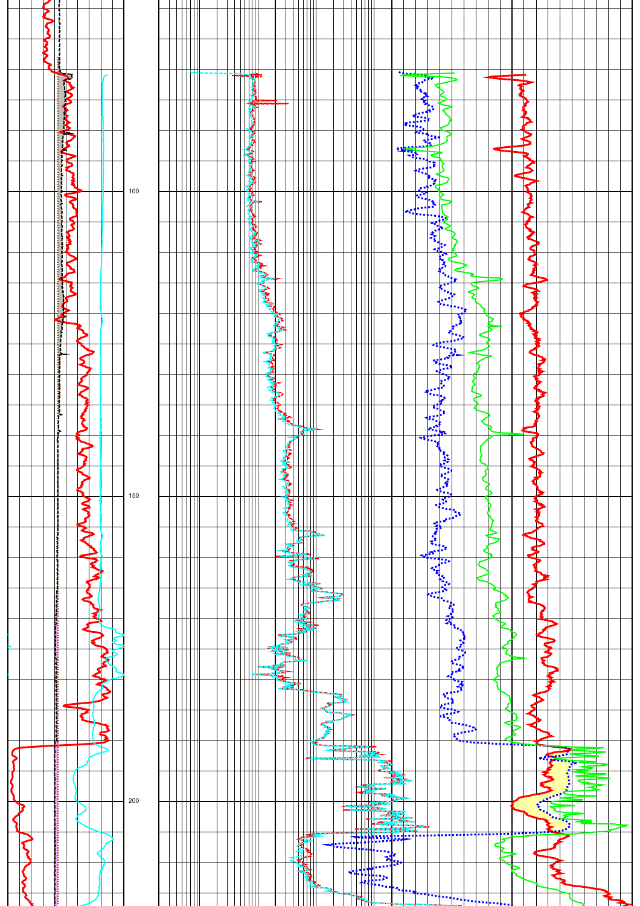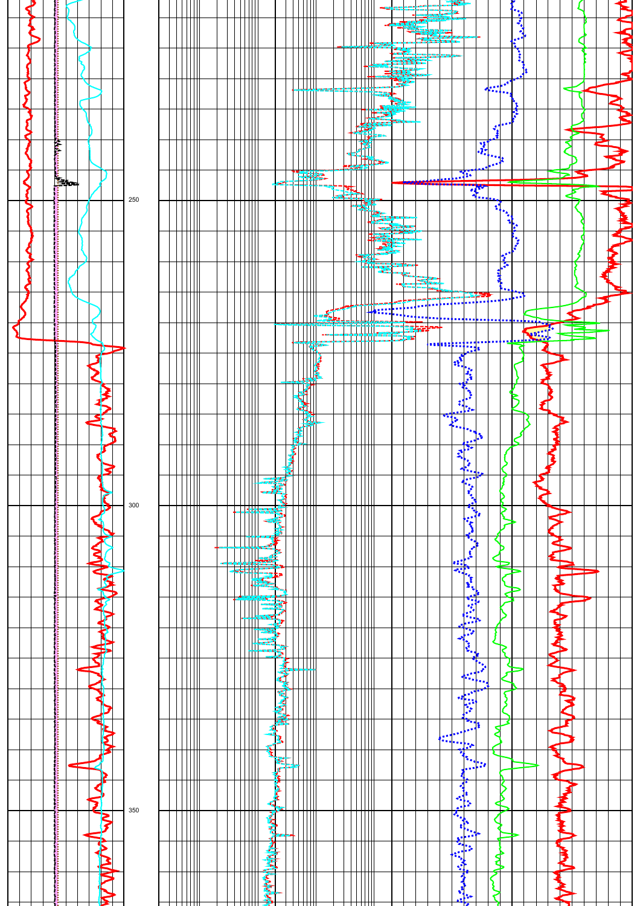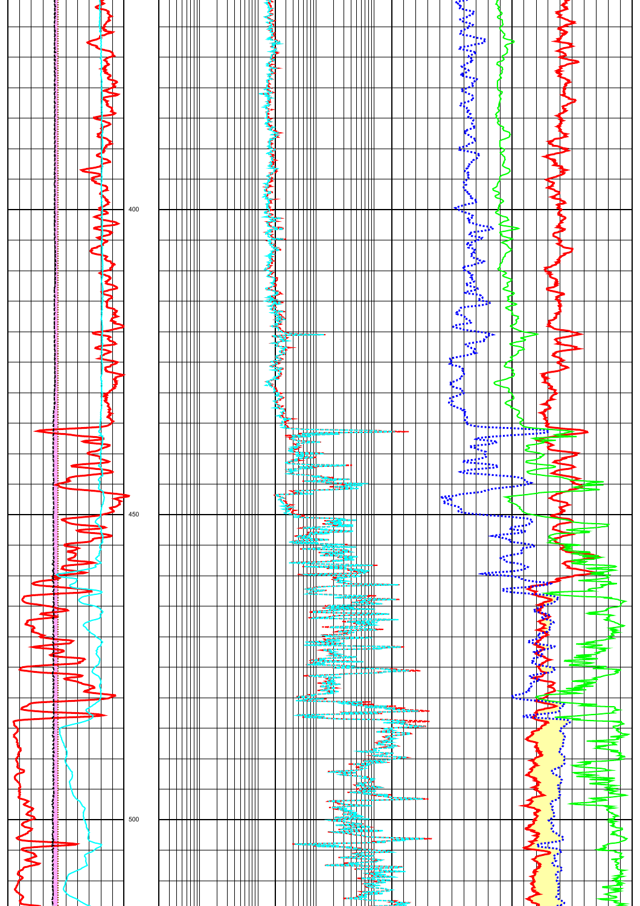